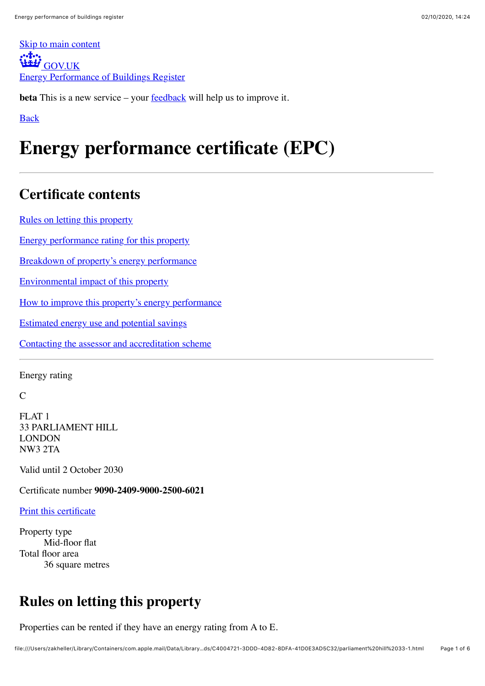[Skip to main content](https://find-energy-certificate.digital.communities.gov.uk/energy-certificate/9090-2409-9000-2500-6021#main-content) [GOV.UK](https://www.gov.uk/) [Energy Performance of Buildings Register](https://find-energy-certificate.digital.communities.gov.uk/)

**beta** This is a new service – your **feedback** will help us to improve it.

[Back](https://find-energy-certificate.digital.communities.gov.uk/find-a-certificate/search-by-postcode)

# **Energy performance certificate (EPC)**

# **Certificate contents**

[Rules on letting this property](https://find-energy-certificate.digital.communities.gov.uk/energy-certificate/9090-2409-9000-2500-6021#renting)

[Energy performance rating for this property](https://find-energy-certificate.digital.communities.gov.uk/energy-certificate/9090-2409-9000-2500-6021#epc)

[Breakdown of property's energy performance](https://find-energy-certificate.digital.communities.gov.uk/energy-certificate/9090-2409-9000-2500-6021#summary)

[Environmental impact of this property](https://find-energy-certificate.digital.communities.gov.uk/energy-certificate/9090-2409-9000-2500-6021#energy)

[How to improve this property's energy performance](https://find-energy-certificate.digital.communities.gov.uk/energy-certificate/9090-2409-9000-2500-6021#recommendations)

[Estimated energy use and potential savings](https://find-energy-certificate.digital.communities.gov.uk/energy-certificate/9090-2409-9000-2500-6021#heat-demand)

[Contacting the assessor and accreditation scheme](https://find-energy-certificate.digital.communities.gov.uk/energy-certificate/9090-2409-9000-2500-6021#information)

Energy rating

 $\mathcal{C}$ 

FLAT 1 33 PARLIAMENT HILL LONDON NW3 2TA

Valid until 2 October 2030

Certificate number **9090-2409-9000-2500-6021**

[Print this certificate](https://find-energy-certificate.digital.communities.gov.uk/energy-certificate/9090-2409-9000-2500-6021#)

Property type Mid-floor flat Total floor area 36 square metres

# **Rules on letting this property**

Properties can be rented if they have an energy rating from A to E.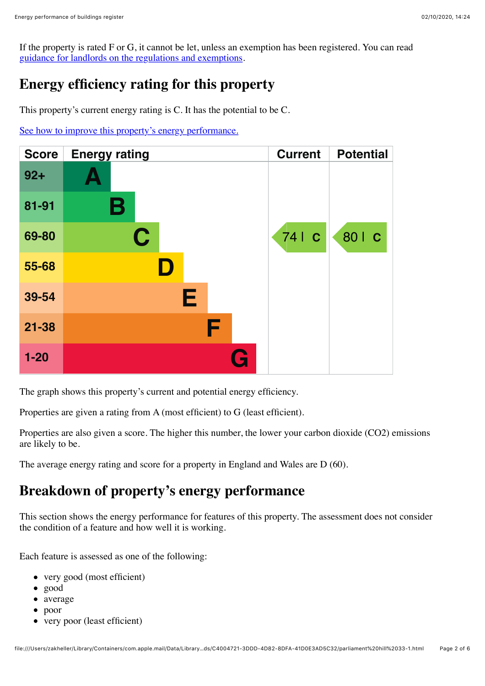If the property is rated F or G, it cannot be let, unless an exemption has been registered. You can read [guidance for landlords on the regulations and exemptions.](https://www.gov.uk/guidance/domestic-private-rented-property-minimum-energy-efficiency-standard-landlord-guidance)

### **Energy efficiency rating for this property**

This property's current energy rating is C. It has the potential to be C.

[See how to improve this property's energy performance.](https://find-energy-certificate.digital.communities.gov.uk/energy-certificate/9090-2409-9000-2500-6021#recommendations)

| <b>Score</b> | <b>Energy rating</b> | <b>Current</b> | <b>Potential</b> |
|--------------|----------------------|----------------|------------------|
| $92 +$       |                      |                |                  |
| 81-91        | Β                    |                |                  |
| 69-80        | $\mathbf C$          | 74   C         | 80   C           |
| 55-68        | D                    |                |                  |
| 39-54        | Е                    |                |                  |
| $21 - 38$    | F                    |                |                  |
| $1 - 20$     |                      |                |                  |

The graph shows this property's current and potential energy efficiency.

Properties are given a rating from A (most efficient) to G (least efficient).

Properties are also given a score. The higher this number, the lower your carbon dioxide (CO2) emissions are likely to be.

The average energy rating and score for a property in England and Wales are D (60).

## **Breakdown of property's energy performance**

This section shows the energy performance for features of this property. The assessment does not consider the condition of a feature and how well it is working.

Each feature is assessed as one of the following:

- very good (most efficient)
- good
- average
- poor
- very poor (least efficient)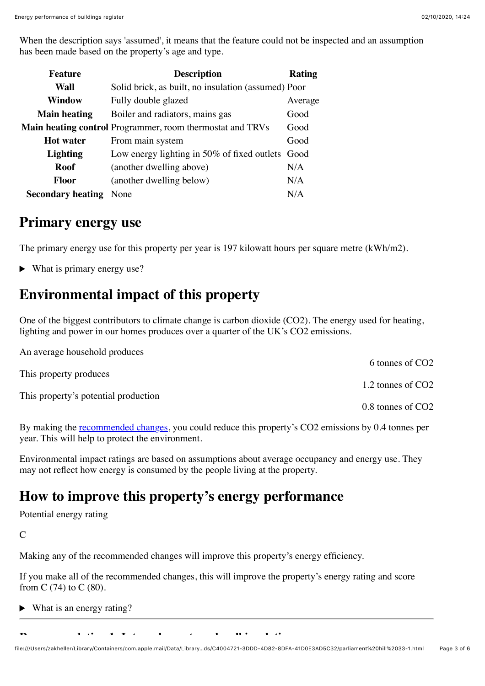When the description says 'assumed', it means that the feature could not be inspected and an assumption has been made based on the property's age and type.

| <b>Feature</b>           | <b>Description</b>                                               | Rating  |
|--------------------------|------------------------------------------------------------------|---------|
| Wall                     | Solid brick, as built, no insulation (assumed) Poor              |         |
| <b>Window</b>            | Fully double glazed                                              | Average |
| <b>Main heating</b>      | Boiler and radiators, mains gas                                  | Good    |
|                          | <b>Main heating control</b> Programmer, room thermostat and TRVs | Good    |
| <b>Hot</b> water         | From main system                                                 | Good    |
| <b>Lighting</b>          | Low energy lighting in 50% of fixed outlets Good                 |         |
| Roof                     | (another dwelling above)                                         | N/A     |
| <b>Floor</b>             | (another dwelling below)                                         | N/A     |
| <b>Secondary heating</b> | None                                                             | N/A     |

### **Primary energy use**

The primary energy use for this property per year is 197 kilowatt hours per square metre (kWh/m2).

 $\blacktriangleright$  What is primary energy use?

### **Environmental impact of this property**

One of the biggest contributors to climate change is carbon dioxide (CO2). The energy used for heating, lighting and power in our homes produces over a quarter of the UK's CO2 emissions.

| An average household produces        |                               |
|--------------------------------------|-------------------------------|
|                                      | 6 tonnes of CO <sub>2</sub>   |
| This property produces               |                               |
|                                      | 1.2 tonnes of CO <sub>2</sub> |
| This property's potential production |                               |
|                                      | 0.8 tonnes of CO <sub>2</sub> |

By making the <u>recommended changes</u>, you could reduce this property's CO2 emissions by 0.4 tonnes per year. This will help to protect the environment.

Environmental impact ratings are based on assumptions about average occupancy and energy use. They may not reflect how energy is consumed by the people living at the property.

# **How to improve this property's energy performance**

Potential energy rating

 $\overline{C}$ 

Making any of the recommended changes will improve this property's energy efficiency.

If you make all of the recommended changes, this will improve the property's energy rating and score from C (74) to C (80).

 $\blacktriangleright$  What is an energy rating?

**Recommendation 1: Internal or external wall insulation**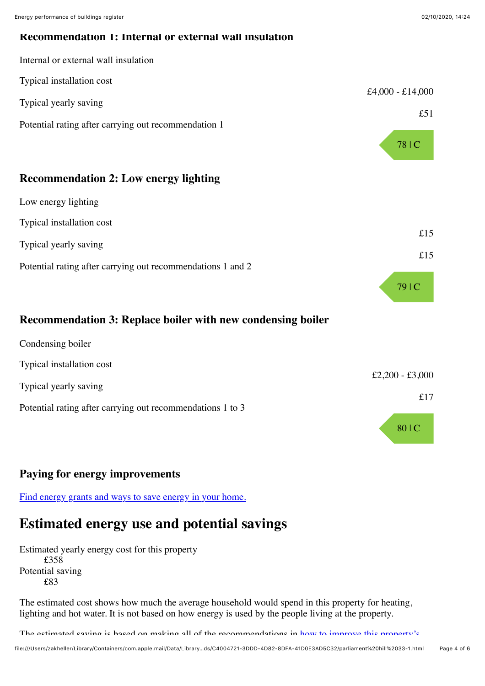#### **Recommendation 1: Internal or external wall insulation**



| Typical installation cost                                   |      |
|-------------------------------------------------------------|------|
|                                                             | £15  |
| Typical yearly saving                                       | £15  |
| Potential rating after carrying out recommendations 1 and 2 |      |
|                                                             | 79 C |

### **Recommendation 3: Replace boiler with new condensing boiler**

| Condensing boiler                                          |                 |
|------------------------------------------------------------|-----------------|
| Typical installation cost                                  |                 |
| Typical yearly saving                                      | £2,200 - £3,000 |
|                                                            | £17             |
| Potential rating after carrying out recommendations 1 to 3 |                 |
|                                                            | 80   C          |

### **Paying for energy improvements**

[Find energy grants and ways to save energy in your home.](https://www.gov.uk/improve-energy-efficiency)

### **Estimated energy use and potential savings**

Estimated yearly energy cost for this property £358 Potential saving £83

The estimated cost shows how much the average household would spend in this property for heating, lighting and hot water. It is not based on how energy is used by the people living at the property.

[The estimated saving is based on making all of the recommendations in how to improve this property's](https://find-energy-certificate.digital.communities.gov.uk/energy-certificate/9090-2409-9000-2500-6021#recommendations)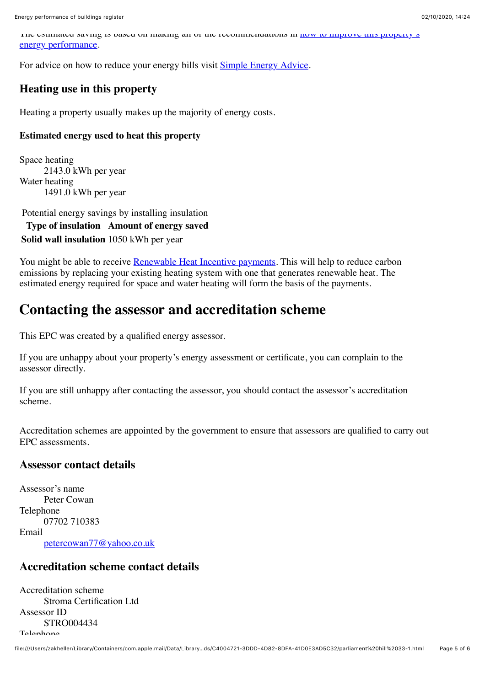[The estimated saving is based on making all of the recommendations in how to improve this property's](https://find-energy-certificate.digital.communities.gov.uk/energy-certificate/9090-2409-9000-2500-6021#recommendations) energy performance.

For advice on how to reduce your energy bills visit **[Simple Energy Advice](https://www.simpleenergyadvice.org.uk/)**.

#### **Heating use in this property**

Heating a property usually makes up the majority of energy costs.

#### **Estimated energy used to heat this property**

Space heating 2143.0 kWh per year Water heating 1491.0 kWh per year

Potential energy savings by installing insulation **Type of insulation Amount of energy saved Solid wall insulation** 1050 kWh per year

You might be able to receive **[Renewable Heat Incentive payments](https://www.gov.uk/domestic-renewable-heat-incentive)**. This will help to reduce carbon emissions by replacing your existing heating system with one that generates renewable heat. The estimated energy required for space and water heating will form the basis of the payments.

### **Contacting the assessor and accreditation scheme**

This EPC was created by a qualified energy assessor.

If you are unhappy about your property's energy assessment or certificate, you can complain to the assessor directly.

If you are still unhappy after contacting the assessor, you should contact the assessor's accreditation scheme.

Accreditation schemes are appointed by the government to ensure that assessors are qualified to carry out EPC assessments.

#### **Assessor contact details**

Assessor's name Peter Cowan Telephone 07702 710383 Email [petercowan77@yahoo.co.uk](mailto:petercowan77@yahoo.co.uk)

#### **Accreditation scheme contact details**

Accreditation scheme Stroma Certification Ltd Assessor ID STRO004434 Telephone